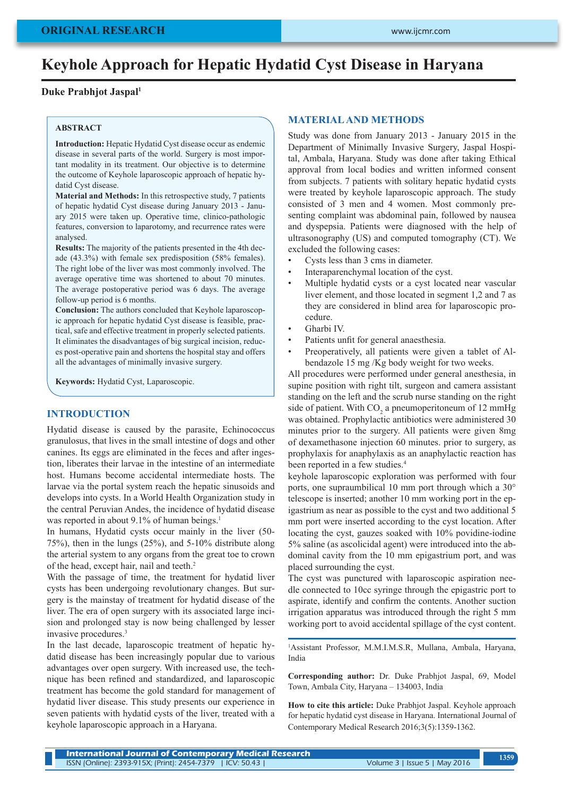# **Keyhole Approach for Hepatic Hydatid Cyst Disease in Haryana**

# **Duke Prabhjot Jaspal1**

#### **ABSTRACT**

**Introduction:** Hepatic Hydatid Cyst disease occur as endemic disease in several parts of the world. Surgery is most important modality in its treatment. Our objective is to determine the outcome of Keyhole laparoscopic approach of hepatic hydatid Cyst disease.

**Material and Methods:** In this retrospective study, 7 patients of hepatic hydatid Cyst disease during January 2013 - January 2015 were taken up. Operative time, clinico-pathologic features, conversion to laparotomy, and recurrence rates were analysed.

**Results:** The majority of the patients presented in the 4th decade (43.3%) with female sex predisposition (58% females). The right lobe of the liver was most commonly involved. The average operative time was shortened to about 70 minutes. The average postoperative period was 6 days. The average follow-up period is 6 months.

**Conclusion:** The authors concluded that Keyhole laparoscopic approach for hepatic hydatid Cyst disease is feasible, practical, safe and effective treatment in properly selected patients. It eliminates the disadvantages of big surgical incision, reduces post-operative pain and shortens the hospital stay and offers all the advantages of minimally invasive surgery.

**Keywords:** Hydatid Cyst, Laparoscopic.

#### **INTRODUCTION**

Hydatid disease is caused by the parasite, Echinococcus granulosus, that lives in the small intestine of dogs and other canines. Its eggs are eliminated in the feces and after ingestion, liberates their larvae in the intestine of an intermediate host. Humans become accidental intermediate hosts. The larvae via the portal system reach the hepatic sinusoids and develops into cysts. In a World Health Organization study in the central Peruvian Andes, the incidence of hydatid disease was reported in about 9.1% of human beings.<sup>1</sup>

In humans, Hydatid cysts occur mainly in the liver (50- 75%), then in the lungs (25%), and 5-10% distribute along the arterial system to any organs from the great toe to crown of the head, except hair, nail and teeth.<sup>2</sup>

With the passage of time, the treatment for hydatid liver cysts has been undergoing revolutionary changes. But surgery is the mainstay of treatment for hydatid disease of the liver. The era of open surgery with its associated large incision and prolonged stay is now being challenged by lesser invasive procedures.3

In the last decade, laparoscopic treatment of hepatic hydatid disease has been increasingly popular due to various advantages over open surgery. With increased use, the technique has been refined and standardized, and laparoscopic treatment has become the gold standard for management of hydatid liver disease. This study presents our experience in seven patients with hydatid cysts of the liver, treated with a keyhole laparoscopic approach in a Haryana.

### **MATERIAL AND METHODS**

Study was done from January 2013 - January 2015 in the Department of Minimally Invasive Surgery, Jaspal Hospital, Ambala, Haryana. Study was done after taking Ethical approval from local bodies and written informed consent from subjects. 7 patients with solitary hepatic hydatid cysts were treated by keyhole laparoscopic approach. The study consisted of 3 men and 4 women. Most commonly presenting complaint was abdominal pain, followed by nausea and dyspepsia. Patients were diagnosed with the help of ultrasonography (US) and computed tomography (CT). We excluded the following cases:

- Cysts less than 3 cms in diameter.
- Interaparenchymal location of the cyst.
- Multiple hydatid cysts or a cyst located near vascular liver element, and those located in segment 1,2 and 7 as they are considered in blind area for laparoscopic procedure.
- Gharbi IV.
- Patients unfit for general anaesthesia.
- Preoperatively, all patients were given a tablet of Albendazole 15 mg /Kg body weight for two weeks.

All procedures were performed under general anesthesia, in supine position with right tilt, surgeon and camera assistant standing on the left and the scrub nurse standing on the right side of patient. With  $CO_2$  a pneumoperitoneum of 12 mmHg was obtained. Prophylactic antibiotics were administered 30 minutes prior to the surgery. All patients were given 8mg of dexamethasone injection 60 minutes. prior to surgery, as prophylaxis for anaphylaxis as an anaphylactic reaction has been reported in a few studies.<sup>4</sup>

keyhole laparoscopic exploration was performed with four ports, one supraumbilical 10 mm port through which a 30° telescope is inserted; another 10 mm working port in the epigastrium as near as possible to the cyst and two additional 5 mm port were inserted according to the cyst location. After locating the cyst, gauzes soaked with 10% povidine-iodine 5% saline (as ascolicidal agent) were introduced into the abdominal cavity from the 10 mm epigastrium port, and was placed surrounding the cyst.

The cyst was punctured with laparoscopic aspiration needle connected to 10cc syringe through the epigastric port to aspirate, identify and confirm the contents. Another suction irrigation apparatus was introduced through the right 5 mm working port to avoid accidental spillage of the cyst content.

1 Assistant Professor, M.M.I.M.S.R, Mullana, Ambala, Haryana, India

**Corresponding author:** Dr. Duke Prabhjot Jaspal, 69, Model Town, Ambala City, Haryana – 134003, India

**How to cite this article:** Duke Prabhjot Jaspal. Keyhole approach for hepatic hydatid cyst disease in Haryana. International Journal of Contemporary Medical Research 2016;3(5):1359-1362.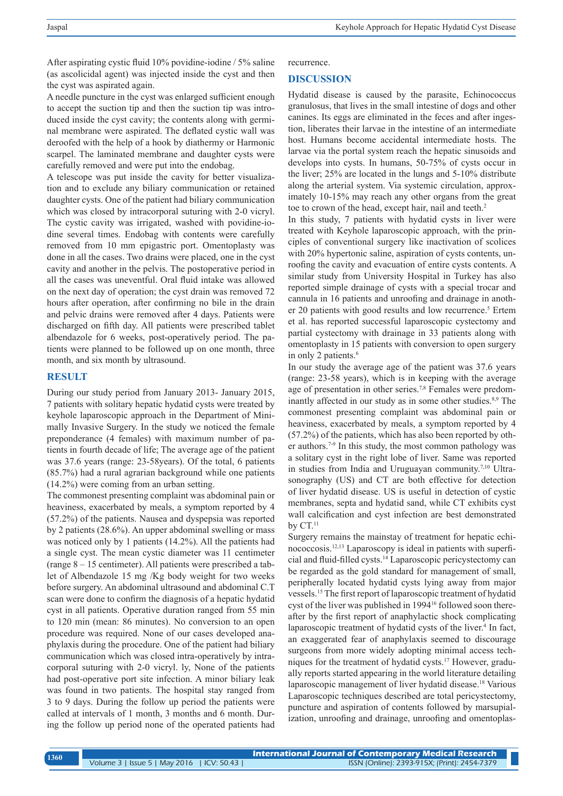After aspirating cystic fluid 10% povidine-iodine / 5% saline (as ascolicidal agent) was injected inside the cyst and then the cyst was aspirated again.

A needle puncture in the cyst was enlarged sufficient enough to accept the suction tip and then the suction tip was introduced inside the cyst cavity; the contents along with germinal membrane were aspirated. The deflated cystic wall was deroofed with the help of a hook by diathermy or Harmonic scarpel. The laminated membrane and daughter cysts were carefully removed and were put into the endobag.

A telescope was put inside the cavity for better visualization and to exclude any biliary communication or retained daughter cysts. One of the patient had biliary communication which was closed by intracorporal suturing with 2-0 vicryl. The cystic cavity was irrigated, washed with povidine-iodine several times. Endobag with contents were carefully removed from 10 mm epigastric port. Omentoplasty was done in all the cases. Two drains were placed, one in the cyst cavity and another in the pelvis. The postoperative period in all the cases was uneventful. Oral fluid intake was allowed on the next day of operation; the cyst drain was removed 72 hours after operation, after confirming no bile in the drain and pelvic drains were removed after 4 days. Patients were discharged on fifth day. All patients were prescribed tablet albendazole for 6 weeks, post-operatively period. The patients were planned to be followed up on one month, three month, and six month by ultrasound.

## **RESULT**

During our study period from January 2013- January 2015, 7 patients with solitary hepatic hydatid cysts were treated by keyhole laparoscopic approach in the Department of Minimally Invasive Surgery. In the study we noticed the female preponderance (4 females) with maximum number of patients in fourth decade of life; The average age of the patient was 37.6 years (range: 23-58years). Of the total, 6 patients (85.7%) had a rural agrarian background while one patients (14.2%) were coming from an urban setting.

The commonest presenting complaint was abdominal pain or heaviness, exacerbated by meals, a symptom reported by 4 (57.2%) of the patients. Nausea and dyspepsia was reported by 2 patients (28.6%). An upper abdominal swelling or mass was noticed only by 1 patients (14.2%). All the patients had a single cyst. The mean cystic diameter was 11 centimeter (range 8 – 15 centimeter). All patients were prescribed a tablet of Albendazole 15 mg /Kg body weight for two weeks before surgery. An abdominal ultrasound and abdominal C.T scan were done to confirm the diagnosis of a hepatic hydatid cyst in all patients. Operative duration ranged from 55 min to 120 min (mean: 86 minutes). No conversion to an open procedure was required. None of our cases developed anaphylaxis during the procedure. One of the patient had biliary communication which was closed intra-operatively by intracorporal suturing with 2-0 vicryl. ly, None of the patients had post-operative port site infection. A minor biliary leak was found in two patients. The hospital stay ranged from 3 to 9 days. During the follow up period the patients were called at intervals of 1 month, 3 months and 6 month. During the follow up period none of the operated patients had recurrence.

### **DISCUSSION**

Hydatid disease is caused by the parasite, Echinococcus granulosus, that lives in the small intestine of dogs and other canines. Its eggs are eliminated in the feces and after ingestion, liberates their larvae in the intestine of an intermediate host. Humans become accidental intermediate hosts. The larvae via the portal system reach the hepatic sinusoids and develops into cysts. In humans, 50-75% of cysts occur in the liver; 25% are located in the lungs and 5-10% distribute along the arterial system. Via systemic circulation, approximately 10-15% may reach any other organs from the great toe to crown of the head, except hair, nail and teeth.<sup>2</sup>

In this study, 7 patients with hydatid cysts in liver were treated with Keyhole laparoscopic approach, with the principles of conventional surgery like inactivation of scolices with 20% hypertonic saline, aspiration of cysts contents, unroofing the cavity and evacuation of entire cysts contents. A similar study from University Hospital in Turkey has also reported simple drainage of cysts with a special trocar and cannula in 16 patients and unroofing and drainage in another 20 patients with good results and low recurrence.<sup>5</sup> Ertem et al. has reported successful laparoscopic cystectomy and partial cystectomy with drainage in 33 patients along with omentoplasty in 15 patients with conversion to open surgery in only 2 patients.<sup>6</sup>

In our study the average age of the patient was 37.6 years (range: 23-58 years), which is in keeping with the average age of presentation in other series.7,8 Females were predominantly affected in our study as in some other studies.<sup>8,9</sup> The commonest presenting complaint was abdominal pain or heaviness, exacerbated by meals, a symptom reported by 4 (57.2%) of the patients, which has also been reported by other authors.7-9 In this study, the most common pathology was a solitary cyst in the right lobe of liver. Same was reported in studies from India and Uruguayan community.<sup>7,10</sup> Ultrasonography (US) and CT are both effective for detection of liver hydatid disease. US is useful in detection of cystic membranes, septa and hydatid sand, while CT exhibits cyst wall calcification and cyst infection are best demonstrated by  $CT.^{11}$ 

Surgery remains the mainstay of treatment for hepatic echinococcosis.12,13 Laparoscopy is ideal in patients with superficial and fluid-filled cysts.14 Laparoscopic pericystectomy can be regarded as the gold standard for management of small, peripherally located hydatid cysts lying away from major vessels.15 The first report of laparoscopic treatment of hydatid cyst of the liver was published in 1994<sup>16</sup> followed soon thereafter by the first report of anaphylactic shock complicating laparoscopic treatment of hydatid cysts of the liver.<sup>4</sup> In fact, an exaggerated fear of anaphylaxis seemed to discourage surgeons from more widely adopting minimal access techniques for the treatment of hydatid cysts.17 However, gradually reports started appearing in the world literature detailing laparoscopic management of liver hydatid disease.<sup>18</sup> Various Laparoscopic techniques described are total pericystectomy, puncture and aspiration of contents followed by marsupialization, unroofing and drainage, unroofing and omentoplas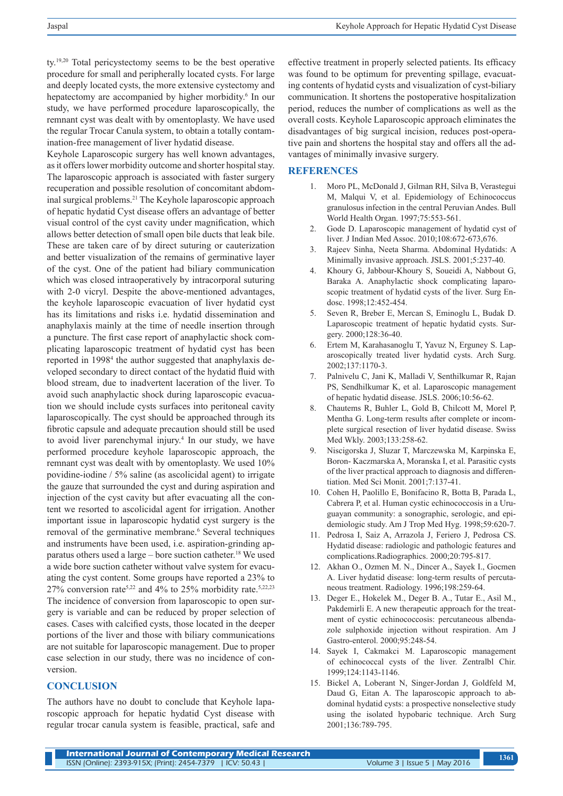ty.19,20 Total pericystectomy seems to be the best operative procedure for small and peripherally located cysts. For large and deeply located cysts, the more extensive cystectomy and hepatectomy are accompanied by higher morbidity.<sup>6</sup> In our study, we have performed procedure laparoscopically, the remnant cyst was dealt with by omentoplasty. We have used the regular Trocar Canula system, to obtain a totally contamination-free management of liver hydatid disease.

Keyhole Laparoscopic surgery has well known advantages, as it offers lower morbidity outcome and shorter hospital stay. The laparoscopic approach is associated with faster surgery recuperation and possible resolution of concomitant abdominal surgical problems.21 The Keyhole laparoscopic approach of hepatic hydatid Cyst disease offers an advantage of better visual control of the cyst cavity under magnification, which allows better detection of small open bile ducts that leak bile. These are taken care of by direct suturing or cauterization and better visualization of the remains of germinative layer of the cyst. One of the patient had biliary communication which was closed intraoperatively by intracorporal suturing with 2-0 vicryl. Despite the above-mentioned advantages, the keyhole laparoscopic evacuation of liver hydatid cyst has its limitations and risks i.e. hydatid dissemination and anaphylaxis mainly at the time of needle insertion through a puncture. The first case report of anaphylactic shock complicating laparoscopic treatment of hydatid cyst has been reported in 1998<sup>4</sup> the author suggested that anaphylaxis developed secondary to direct contact of the hydatid fluid with blood stream, due to inadvertent laceration of the liver. To avoid such anaphylactic shock during laparoscopic evacuation we should include cysts surfaces into peritoneal cavity laparoscopically. The cyst should be approached through its fibrotic capsule and adequate precaution should still be used to avoid liver parenchymal injury.4 In our study, we have performed procedure keyhole laparoscopic approach, the remnant cyst was dealt with by omentoplasty. We used 10% povidine-iodine / 5% saline (as ascolicidal agent) to irrigate the gauze that surrounded the cyst and during aspiration and injection of the cyst cavity but after evacuating all the content we resorted to ascolicidal agent for irrigation. Another important issue in laparoscopic hydatid cyst surgery is the removal of the germinative membrane.<sup>6</sup> Several techniques and instruments have been used, i.e. aspiration-grinding apparatus others used a large – bore suction catheter.<sup>18</sup> We used a wide bore suction catheter without valve system for evacuating the cyst content. Some groups have reported a 23% to 27% conversion rate<sup>5,22</sup> and 4% to 25% morbidity rate.<sup>5,22,23</sup> The incidence of conversion from laparoscopic to open surgery is variable and can be reduced by proper selection of cases. Cases with calcified cysts, those located in the deeper portions of the liver and those with biliary communications are not suitable for laparoscopic management. Due to proper case selection in our study, there was no incidence of conversion.

## **CONCLUSION**

The authors have no doubt to conclude that Keyhole laparoscopic approach for hepatic hydatid Cyst disease with regular trocar canula system is feasible, practical, safe and effective treatment in properly selected patients. Its efficacy was found to be optimum for preventing spillage, evacuating contents of hydatid cysts and visualization of cyst-biliary communication. It shortens the postoperative hospitalization period, reduces the number of complications as well as the overall costs. Keyhole Laparoscopic approach eliminates the disadvantages of big surgical incision, reduces post-operative pain and shortens the hospital stay and offers all the advantages of minimally invasive surgery.

### **REFERENCES**

- 1. Moro PL, McDonald J, Gilman RH, Silva B, Verastegui M, Malqui V, et al. Epidemiology of Echinococcus granulosus infection in the central Peruvian Andes. Bull World Health Organ. 1997;75:553-561.
- 2. Gode D. Laparoscopic management of hydatid cyst of liver. J Indian Med Assoc. 2010;108:672-673,676.
- 3. Rajeev Sinha, Neeta Sharma. Abdominal Hydatids: A Minimally invasive approach. JSLS. 2001;5:237-40.
- 4. Khoury G, Jabbour-Khoury S, Soueidi A, Nabbout G, Baraka A. Anaphylactic shock complicating laparoscopic treatment of hydatid cysts of the liver. Surg Endosc. 1998;12:452-454.
- 5. Seven R, Breber E, Mercan S, Eminoglu L, Budak D. Laparoscopic treatment of hepatic hydatid cysts. Surgery. 2000;128:36-40.
- 6. Ertem M, Karahasanoglu T, Yavuz N, Erguney S. Laparoscopically treated liver hydatid cysts. Arch Surg. 2002;137:1170-3.
- 7. Palnivelu C, Jani K, Malladi V, Senthilkumar R, Rajan PS, Sendhilkumar K, et al. Laparoscopic management of hepatic hydatid disease. JSLS. 2006;10:56-62.
- 8. Chautems R, Buhler L, Gold B, Chilcott M, Morel P, Mentha G. Long-term results after complete or incomplete surgical resection of liver hydatid disease. Swiss Med Wkly. 2003;133:258-62.
- 9. Niscigorska J, Sluzar T, Marczewska M, Karpinska E, Boron- Kaczmarska A, Moranska I, et al. Parasitic cysts of the liver practical approach to diagnosis and differentiation. Med Sci Monit. 2001;7:137-41.
- 10. Cohen H, Paolillo E, Bonifacino R, Botta B, Parada L, Cabrera P, et al. Human cystic echinococcosis in a Uruguayan community: a sonographic, serologic, and epidemiologic study. Am J Trop Med Hyg. 1998;59:620-7.
- 11. Pedrosa I, Saiz A, Arrazola J, Feriero J, Pedrosa CS. Hydatid disease: radiologic and pathologic features and complications.Radiographics. 2000;20:795-817.
- 12. Akhan O., Ozmen M. N., Dincer A., Sayek I., Gocmen A. Liver hydatid disease: long-term results of percutaneous treatment. Radiology. 1996;198:259-64.
- 13. Deger E., Hokelek M., Deger B. A., Tutar E., Asil M., Pakdemirli E. A new therapeutic approach for the treatment of cystic echinococcosis: percutaneous albendazole sulphoxide injection without respiration. Am J Gastro-enterol. 2000;95:248-54.
- 14. Sayek I, Cakmakci M. Laparoscopic management of echinococcal cysts of the liver. Zentralbl Chir. 1999;124:1143-1146.
- 15. Bickel A, Loberant N, Singer-Jordan J, Goldfeld M, Daud G, Eitan A. The laparoscopic approach to abdominal hydatid cysts: a prospective nonselective study using the isolated hypobaric technique. Arch Surg 2001;136:789-795.